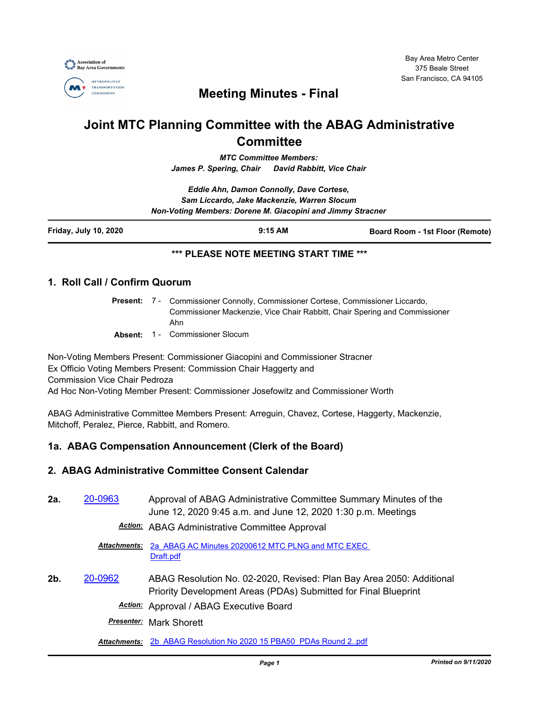

## **Meeting Minutes - Final**

# **Joint MTC Planning Committee with the ABAG Administrative Committee**

*MTC Committee Members: James P. Spering, Chair David Rabbitt, Vice Chair*

*Eddie Ahn, Damon Connolly, Dave Cortese, Sam Liccardo, Jake Mackenzie, Warren Slocum Non-Voting Members: Dorene M. Giacopini and Jimmy Stracner*

#### **\*\*\* PLEASE NOTE MEETING START TIME \*\*\***

#### **1. Roll Call / Confirm Quorum**

Present: 7 - Commissioner Connolly, Commissioner Cortese, Commissioner Liccardo, Commissioner Mackenzie, Vice Chair Rabbitt, Chair Spering and Commissioner Ahn

**Absent:** 1 - Commissioner Slocum

Non-Voting Members Present: Commissioner Giacopini and Commissioner Stracner Ex Officio Voting Members Present: Commission Chair Haggerty and Commission Vice Chair Pedroza Ad Hoc Non-Voting Member Present: Commissioner Josefowitz and Commissioner Worth

ABAG Administrative Committee Members Present: Arreguin, Chavez, Cortese, Haggerty, Mackenzie, Mitchoff, Peralez, Pierce, Rabbitt, and Romero.

#### **1a. ABAG Compensation Announcement (Clerk of the Board)**

#### **2. ABAG Administrative Committee Consent Calendar**

**2a.** [20-0963](http://mtc.legistar.com/gateway.aspx?m=l&id=/matter.aspx?key=20827) Approval of ABAG Administrative Committee Summary Minutes of the June 12, 2020 9:45 a.m. and June 12, 2020 1:30 p.m. Meetings

*Action:* ABAG Administrative Committee Approval

[2a\\_ABAG AC Minutes 20200612 MTC PLNG and MTC EXEC](http://mtc.legistar.com/gateway.aspx?M=F&ID=e38b33c1-f1af-41c6-8c98-fcb94f8fe282.pdf)  Draft.pdf *Attachments:*

**2b.** [20-0962](http://mtc.legistar.com/gateway.aspx?m=l&id=/matter.aspx?key=20826) ABAG Resolution No. 02-2020, Revised: Plan Bay Area 2050: Additional Priority Development Areas (PDAs) Submitted for Final Blueprint

*Action:* Approval / ABAG Executive Board

*Presenter:* Mark Shorett

*Attachments:* [2b\\_ABAG Resolution No 2020 15 PBA50\\_PDAs Round 2..pdf](http://mtc.legistar.com/gateway.aspx?M=F&ID=fd9abae8-1f3f-4247-a7b2-d4eba15a2c76.pdf)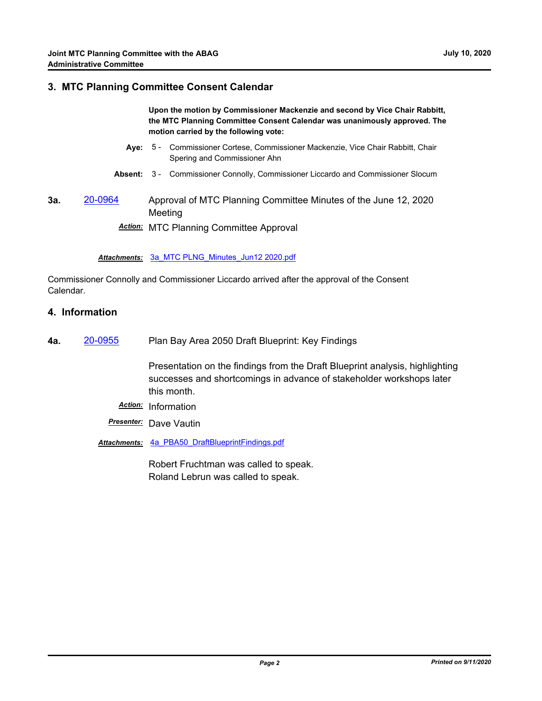#### **3. MTC Planning Committee Consent Calendar**

**Upon the motion by Commissioner Mackenzie and second by Vice Chair Rabbitt, the MTC Planning Committee Consent Calendar was unanimously approved. The motion carried by the following vote:**

- Aye: 5 Commissioner Cortese, Commissioner Mackenzie, Vice Chair Rabbitt, Chair Spering and Commissioner Ahn
- **Absent:** 3 Commissioner Connolly, Commissioner Liccardo and Commissioner Slocum
- **3a.** [20-0964](http://mtc.legistar.com/gateway.aspx?m=l&id=/matter.aspx?key=20828) Approval of MTC Planning Committee Minutes of the June 12, 2020 Meeting

*Action:* MTC Planning Committee Approval

#### *Attachments:* [3a\\_MTC PLNG\\_Minutes\\_Jun12 2020.pdf](http://mtc.legistar.com/gateway.aspx?M=F&ID=3ef5c1ab-e026-4c3b-a4a1-db613d01d22b.pdf)

Commissioner Connolly and Commissioner Liccardo arrived after the approval of the Consent Calendar.

#### **4. Information**

**4a.** [20-0955](http://mtc.legistar.com/gateway.aspx?m=l&id=/matter.aspx?key=20819) Plan Bay Area 2050 Draft Blueprint: Key Findings

Presentation on the findings from the Draft Blueprint analysis, highlighting successes and shortcomings in advance of stakeholder workshops later this month.

- *Action:* Information
- *Presenter:* Dave Vautin
- *Attachments:* [4a\\_PBA50\\_DraftBlueprintFindings.pdf](http://mtc.legistar.com/gateway.aspx?M=F&ID=ed6db023-084d-4652-bae1-31f758cf1982.pdf)

Robert Fruchtman was called to speak. Roland Lebrun was called to speak.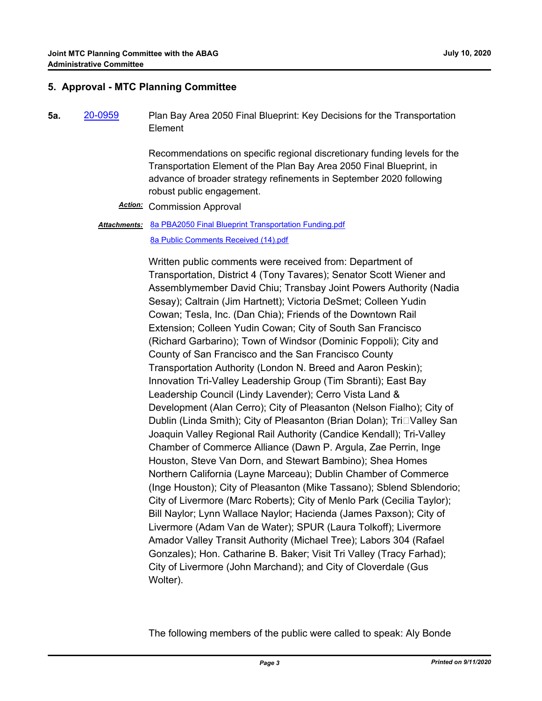#### **5. Approval - MTC Planning Committee**

**5a.** [20-0959](http://mtc.legistar.com/gateway.aspx?m=l&id=/matter.aspx?key=20823) Plan Bay Area 2050 Final Blueprint: Key Decisions for the Transportation Element

> Recommendations on specific regional discretionary funding levels for the Transportation Element of the Plan Bay Area 2050 Final Blueprint, in advance of broader strategy refinements in September 2020 following robust public engagement.

*Action:* Commission Approval

Attachments: [8a PBA2050 Final Blueprint Transportation Funding.pdf](http://mtc.legistar.com/gateway.aspx?M=F&ID=85620138-af2c-4cc0-8d57-1dd47a4b59b1.pdf) [8a Public Comments Received \(14\).pdf](http://mtc.legistar.com/gateway.aspx?M=F&ID=6ae653cc-e913-49ee-972a-bc7347f8cb3c.pdf)

> Written public comments were received from: Department of Transportation, District 4 (Tony Tavares); Senator Scott Wiener and Assemblymember David Chiu; Transbay Joint Powers Authority (Nadia Sesay); Caltrain (Jim Hartnett); Victoria DeSmet; Colleen Yudin Cowan; Tesla, Inc. (Dan Chia); Friends of the Downtown Rail Extension; Colleen Yudin Cowan; City of South San Francisco (Richard Garbarino); Town of Windsor (Dominic Foppoli); City and County of San Francisco and the San Francisco County Transportation Authority (London N. Breed and Aaron Peskin); Innovation Tri-Valley Leadership Group (Tim Sbranti); East Bay Leadership Council (Lindy Lavender); Cerro Vista Land & Development (Alan Cerro); City of Pleasanton (Nelson Fialho); City of Dublin (Linda Smith); City of Pleasanton (Brian Dolan); Tri□Valley San Joaquin Valley Regional Rail Authority (Candice Kendall); Tri-Valley Chamber of Commerce Alliance (Dawn P. Argula, Zae Perrin, Inge Houston, Steve Van Dorn, and Stewart Bambino); Shea Homes Northern California (Layne Marceau); Dublin Chamber of Commerce (Inge Houston); City of Pleasanton (Mike Tassano); Sblend Sblendorio; City of Livermore (Marc Roberts); City of Menlo Park (Cecilia Taylor); Bill Naylor; Lynn Wallace Naylor; Hacienda (James Paxson); City of Livermore (Adam Van de Water); SPUR (Laura Tolkoff); Livermore Amador Valley Transit Authority (Michael Tree); Labors 304 (Rafael Gonzales); Hon. Catharine B. Baker; Visit Tri Valley (Tracy Farhad); City of Livermore (John Marchand); and City of Cloverdale (Gus Wolter).

The following members of the public were called to speak: Aly Bonde